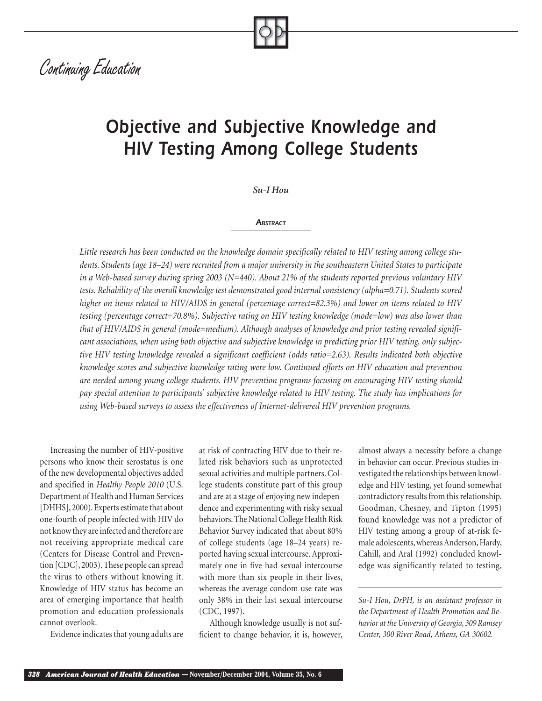*Continuing Education*

# *Objective and Subjective Knowledge and HIV Testing Among College Students*

*Su-I Hou*

#### **ABSTRACT**

*Little research has been conducted on the knowledge domain specifically related to HIV testing among college students. Students (age 18–24) were recruited from a major university in the southeastern United States to participate in a Web-based survey during spring 2003 (N=440). About 21% of the students reported previous voluntary HIV tests. Reliability of the overall knowledge test demonstrated good internal consistency (alpha=0.71). Students scored higher on items related to HIV/AIDS in general (percentage correct=82.3%) and lower on items related to HIV testing (percentage correct=70.8%). Subjective rating on HIV testing knowledge (mode=low) was also lower than that of HIV/AIDS in general (mode=medium). Although analyses of knowledge and prior testing revealed significant associations, when using both objective and subjective knowledge in predicting prior HIV testing, only subjective HIV testing knowledge revealed a significant coefficient (odds ratio=2.63). Results indicated both objective knowledge scores and subjective knowledge rating were low. Continued efforts on HIV education and prevention are needed among young college students. HIV prevention programs focusing on encouraging HIV testing should pay special attention to participants' subjective knowledge related to HIV testing. The study has implications for using Web-based surveys to assess the effectiveness of Internet-delivered HIV prevention programs.*

Increasing the number of HIV-positive persons who know their serostatus is one of the new developmental objectives added and specified in *Healthy People 2010* (U.S. Department of Health and Human Services [DHHS], 2000). Experts estimate that about one-fourth of people infected with HIV do not know they are infected and therefore are not receiving appropriate medical care (Centers for Disease Control and Prevention [CDC], 2003). These people can spread the virus to others without knowing it. Knowledge of HIV status has become an area of emerging importance that health promotion and education professionals cannot overlook.

Evidence indicates that young adults are

at risk of contracting HIV due to their related risk behaviors such as unprotected sexual activities and multiple partners. College students constitute part of this group and are at a stage of enjoying new independence and experimenting with risky sexual behaviors. The National College Health Risk Behavior Survey indicated that about 80% of college students (age 18–24 years) reported having sexual intercourse. Approximately one in five had sexual intercourse with more than six people in their lives, whereas the average condom use rate was only 38% in their last sexual intercourse (CDC, 1997).

Although knowledge usually is not sufficient to change behavior, it is, however,

almost always a necessity before a change in behavior can occur. Previous studies investigated the relationships between knowledge and HIV testing, yet found somewhat contradictory results from this relationship. Goodman, Chesney, and Tipton (1995) found knowledge was not a predictor of HIV testing among a group of at-risk female adolescents, whereas Anderson, Hardy, Cahill, and Aral (1992) concluded knowledge was significantly related to testing,

*Su-I Hou, DrPH, is an assistant professor in the Department of Health Promotion and Behavior at the University of Georgia, 309 Ramsey Center, 300 River Road, Athens, GA 30602.*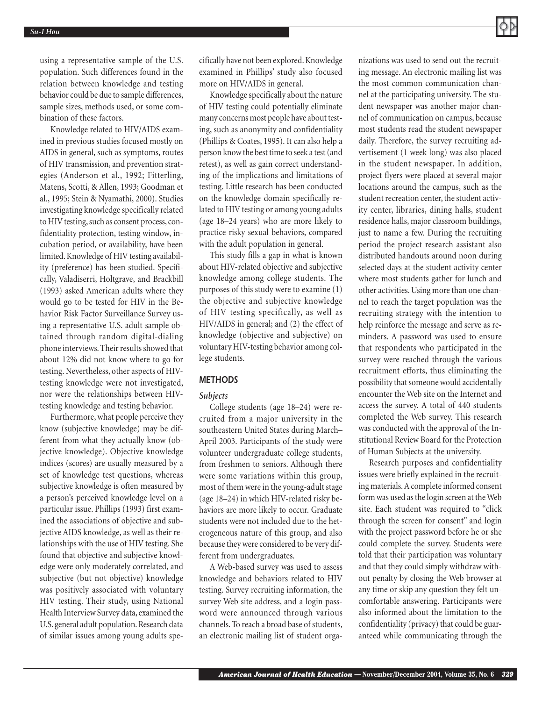

using a representative sample of the U.S. population. Such differences found in the relation between knowledge and testing behavior could be due to sample differences, sample sizes, methods used, or some combination of these factors.

Knowledge related to HIV/AIDS examined in previous studies focused mostly on AIDS in general, such as symptoms, routes of HIV transmission, and prevention strategies (Anderson et al., 1992; Fitterling, Matens, Scotti, & Allen, 1993; Goodman et al., 1995; Stein & Nyamathi, 2000). Studies investigating knowledge specifically related to HIV testing, such as consent process, confidentiality protection, testing window, incubation period, or availability, have been limited. Knowledge of HIV testing availability (preference) has been studied. Specifically, Valadiserri, Holtgrave, and Brackbill (1993) asked American adults where they would go to be tested for HIV in the Behavior Risk Factor Surveillance Survey using a representative U.S. adult sample obtained through random digital-dialing phone interviews. Their results showed that about 12% did not know where to go for testing. Nevertheless, other aspects of HIVtesting knowledge were not investigated, nor were the relationships between HIVtesting knowledge and testing behavior.

Furthermore, what people perceive they know (subjective knowledge) may be different from what they actually know (objective knowledge). Objective knowledge indices (scores) are usually measured by a set of knowledge test questions, whereas subjective knowledge is often measured by a person's perceived knowledge level on a particular issue. Phillips (1993) first examined the associations of objective and subjective AIDS knowledge, as well as their relationships with the use of HIV testing. She found that objective and subjective knowledge were only moderately correlated, and subjective (but not objective) knowledge was positively associated with voluntary HIV testing. Their study, using National Health Interview Survey data, examined the U.S. general adult population. Research data of similar issues among young adults specifically have not been explored. Knowledge examined in Phillips' study also focused more on HIV/AIDS in general.

Knowledge specifically about the nature of HIV testing could potentially eliminate many concerns most people have about testing, such as anonymity and confidentiality (Phillips & Coates, 1995). It can also help a person know the best time to seek a test (and retest), as well as gain correct understanding of the implications and limitations of testing. Little research has been conducted on the knowledge domain specifically related to HIV testing or among young adults (age 18–24 years) who are more likely to practice risky sexual behaviors, compared with the adult population in general.

This study fills a gap in what is known about HIV-related objective and subjective knowledge among college students. The purposes of this study were to examine (1) the objective and subjective knowledge of HIV testing specifically, as well as HIV/AIDS in general; and (2) the effect of knowledge (objective and subjective) on voluntary HIV-testing behavior among college students.

## *METHODS*

#### *Subjects*

College students (age 18–24) were recruited from a major university in the southeastern United States during March– April 2003. Participants of the study were volunteer undergraduate college students, from freshmen to seniors. Although there were some variations within this group, most of them were in the young-adult stage (age 18–24) in which HIV-related risky behaviors are more likely to occur. Graduate students were not included due to the heterogeneous nature of this group, and also because they were considered to be very different from undergraduates.

A Web-based survey was used to assess knowledge and behaviors related to HIV testing. Survey recruiting information, the survey Web site address, and a login password were announced through various channels. To reach a broad base of students, an electronic mailing list of student organizations was used to send out the recruiting message. An electronic mailing list was the most common communication channel at the participating university. The student newspaper was another major channel of communication on campus, because most students read the student newspaper daily. Therefore, the survey recruiting advertisement (1 week long) was also placed in the student newspaper. In addition, project flyers were placed at several major locations around the campus, such as the student recreation center, the student activity center, libraries, dining halls, student residence halls, major classroom buildings, just to name a few. During the recruiting period the project research assistant also distributed handouts around noon during selected days at the student activity center where most students gather for lunch and other activities. Using more than one channel to reach the target population was the recruiting strategy with the intention to help reinforce the message and serve as reminders. A password was used to ensure that respondents who participated in the survey were reached through the various recruitment efforts, thus eliminating the possibility that someone would accidentally encounter the Web site on the Internet and access the survey. A total of 440 students completed the Web survey. This research was conducted with the approval of the Institutional Review Board for the Protection of Human Subjects at the university.

Research purposes and confidentiality issues were briefly explained in the recruiting materials. A complete informed consent form was used as the login screen at the Web site. Each student was required to "click through the screen for consent" and login with the project password before he or she could complete the survey. Students were told that their participation was voluntary and that they could simply withdraw without penalty by closing the Web browser at any time or skip any question they felt uncomfortable answering. Participants were also informed about the limitation to the confidentiality (privacy) that could be guaranteed while communicating through the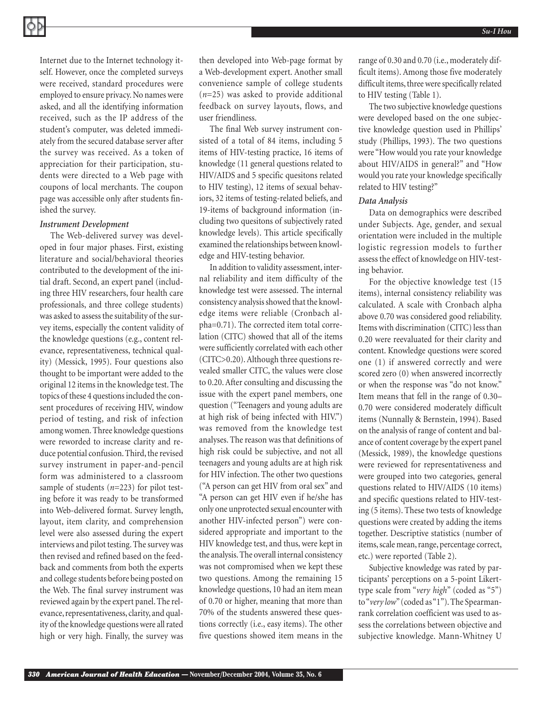Internet due to the Internet technology itself. However, once the completed surveys were received, standard procedures were employed to ensure privacy. No names were asked, and all the identifying information received, such as the IP address of the student's computer, was deleted immediately from the secured database server after the survey was received. As a token of appreciation for their participation, students were directed to a Web page with coupons of local merchants. The coupon page was accessible only after students finished the survey.

#### *Instrument Development*

The Web-delivered survey was developed in four major phases. First, existing literature and social/behavioral theories contributed to the development of the initial draft. Second, an expert panel (including three HIV researchers, four health care professionals, and three college students) was asked to assess the suitability of the survey items, especially the content validity of the knowledge questions (e.g., content relevance, representativeness, technical quality) (Messick, 1995). Four questions also thought to be important were added to the original 12 items in the knowledge test. The topics of these 4 questions included the consent procedures of receiving HIV, window period of testing, and risk of infection among women. Three knowledge questions were reworded to increase clarity and reduce potential confusion. Third, the revised survey instrument in paper-and-pencil form was administered to a classroom sample of students (*n*=223) for pilot testing before it was ready to be transformed into Web-delivered format. Survey length, layout, item clarity, and comprehension level were also assessed during the expert interviews and pilot testing. The survey was then revised and refined based on the feedback and comments from both the experts and college students before being posted on the Web. The final survey instrument was reviewed again by the expert panel. The relevance, representativeness, clarity, and quality of the knowledge questions were all rated high or very high. Finally, the survey was

then developed into Web-page format by a Web-development expert. Another small convenience sample of college students (*n*=25) was asked to provide additional feedback on survey layouts, flows, and user friendliness.

The final Web survey instrument consisted of a total of 84 items, including 5 items of HIV-testing practice, 16 items of knowledge (11 general questions related to HIV/AIDS and 5 specific quesitons related to HIV testing), 12 items of sexual behaviors, 32 items of testing-related beliefs, and 19-items of background information (including two quesitons of subjectively rated knowledge levels). This article specifically examined the relationships between knowledge and HIV-testing behavior.

In addition to validity assessment, internal reliability and item difficulty of the knowledge test were assessed. The internal consistency analysis showed that the knowledge items were reliable (Cronbach alpha=0.71). The corrected item total correlation (CITC) showed that all of the items were sufficiently correlated with each other (CITC>0.20). Although three questions revealed smaller CITC, the values were close to 0.20. After consulting and discussing the issue with the expert panel members, one question ("Teenagers and young adults are at high risk of being infected with HIV.") was removed from the knowledge test analyses. The reason was that definitions of high risk could be subjective, and not all teenagers and young adults are at high risk for HIV infection. The other two questions ("A person can get HIV from oral sex" and "A person can get HIV even if he/she has only one unprotected sexual encounter with another HIV-infected person") were considered appropriate and important to the HIV knowledge test, and thus, were kept in the analysis. The overall internal consistency was not compromised when we kept these two questions. Among the remaining 15 knowledge questions, 10 had an item mean of 0.70 or higher, meaning that more than 70% of the students answered these questions correctly (i.e., easy items). The other five questions showed item means in the

range of 0.30 and 0.70 (i.e., moderately difficult items). Among those five moderately difficult items, three were specifically related to HIV testing (Table 1).

The two subjective knowledge questions were developed based on the one subjective knowledge question used in Phillips' study (Phillips, 1993). The two questions were "How would you rate your knowledge about HIV/AIDS in general?" and "How would you rate your knowledge specifically related to HIV testing?"

#### *Data Analysis*

Data on demographics were described under Subjects. Age, gender, and sexual orientation were included in the multiple logistic regression models to further assess the effect of knowledge on HIV-testing behavior.

For the objective knowledge test (15 items), internal consistency reliability was calculated. A scale with Cronbach alpha above 0.70 was considered good reliability. Items with discrimination (CITC) less than 0.20 were reevaluated for their clarity and content. Knowledge questions were scored one (1) if answered correctly and were scored zero (0) when answered incorrectly or when the response was "do not know." Item means that fell in the range of 0.30– 0.70 were considered moderately difficult items (Nunnally & Bernstein, 1994). Based on the analysis of range of content and balance of content coverage by the expert panel (Messick, 1989), the knowledge questions were reviewed for representativeness and were grouped into two categories, general questions related to HIV/AIDS (10 items) and specific questions related to HIV-testing (5 items). These two tests of knowledge questions were created by adding the items together. Descriptive statistics (number of items, scale mean, range, percentage correct, etc.) were reported (Table 2).

Subjective knowledge was rated by participants' perceptions on a 5-point Likerttype scale from "*very high*" (coded as "5") to "*very low*" (coded as "1"). The Spearmanrank correlation coefficient was used to assess the correlations between objective and subjective knowledge. Mann-Whitney U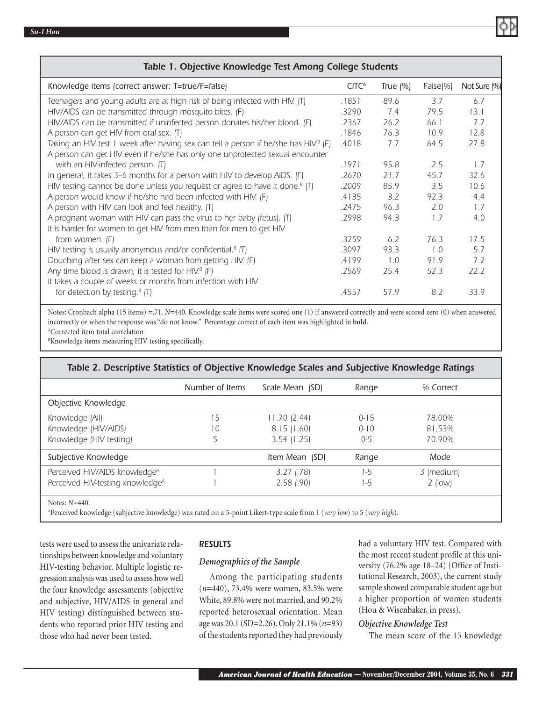| Table 1. Objective Knowledge Test Among College Students                                         |                   |             |             |              |  |  |
|--------------------------------------------------------------------------------------------------|-------------------|-------------|-------------|--------------|--|--|
| Knowledge items (correct answer: T=true/F=false)                                                 | CITC <sup>A</sup> | True $(% )$ | $False$ (%) | Not Sure (%) |  |  |
| Teenagers and young adults are at high risk of being infected with HIV. (T)                      | .1851             | 89.6        | 3.7         | 6.7          |  |  |
| HIV/AIDS can be transmitted through mosquito bites. (F)                                          | .3290             | 7.4         | 79.5        | 13.1         |  |  |
| HIV/AIDS can be transmitted if uninfected person donates his/her blood. (F)                      | .2367             | 26.2        | 66.1        | 7.7          |  |  |
| A person can get HIV from oral sex. (T)                                                          | .1846             | 76.3        | 10.9        | 12.8         |  |  |
| Taking an HIV test 1 week after having sex can tell a person if he/she has HIV. <sup>B</sup> (F) | .4018             | 7.7         | 64.5        | 27.8         |  |  |
| A person can get HIV even if he/she has only one unprotected sexual encounter                    |                   |             |             |              |  |  |
| with an HIV-infected person. (T)                                                                 | .1971             | 95.8        | 2.5         | 1.7          |  |  |
| In general, it takes 3-6 months for a person with HIV to develop AIDS. (F)                       | .2670             | 21.7        | 45.7        | 32.6         |  |  |
| HIV testing cannot be done unless you request or agree to have it done. <sup>B</sup> (T)         | .2009             | 85.9        | 3.5         | 10.6         |  |  |
| A person would know if he/she had been infected with HIV. (F)                                    | .4135             | 3.2         | 92.3        | 4.4          |  |  |
| A person with HIV can look and feel healthy. (T)                                                 | .2475             | 96.3        | 2.0         | 1.7          |  |  |
| A pregnant woman with HIV can pass the virus to her baby (fetus). (T)                            | .2998             | 94.3        | 17          | 4.0          |  |  |
| It is harder for women to get HIV from men than for men to get HIV                               |                   |             |             |              |  |  |
| from women. (F)                                                                                  | .3259             | 6.2         | 76.3        | 17.5         |  |  |
| HIV testing is usually anonymous and/or confidential. <sup>B</sup> (T)                           | .3097             | 93.3        | 1.0         | 5.7          |  |  |
| Douching after sex can keep a woman from getting HIV. (F)                                        | .4199             | 1.0         | 91.9        | 7.2          |  |  |
| Any time blood is drawn, it is tested for HIV. <sup>B</sup> (F)                                  | .2569             | 25.4        | 52.3        | 22.2         |  |  |
| It takes a couple of weeks or months from infection with HIV                                     |                   |             |             |              |  |  |
| for detection by testing. <sup>B</sup> (T)                                                       | .4557             | 57.9        | 8.2         | 33.9         |  |  |

Notes: Cronbach alpha (15 items) = .71. *N*=440. Knowledge scale items were scored one (1) if answered correctly and were scored zero (0) when answered incorrectly or when the response was "do not know." Percentage correct of each item was highlighted in **bold**. ACorrected item total correlation

<sup>B</sup>Knowledge items measuring HIV testing specifically.

## *Table 2. Descriptive Statistics of Objective Knowledge Scales and Subjective Knowledge Ratings*

|                                              | Number of Items | Scale Mean (SD) | Range    | % Correct  |
|----------------------------------------------|-----------------|-----------------|----------|------------|
| Objective Knowledge                          |                 |                 |          |            |
| Knowledge (All)                              | 15              | 11.70(2.44)     | $0 - 15$ | 78.00%     |
| Knowledge (HIV/AIDS)                         | 10              | 8.15(1.60)      | $0 - 10$ | 81.53%     |
| Knowledge (HIV testing)                      | 5               | $3.54$ (1.25)   | $0 - 5$  | 70.90%     |
| Subjective Knowledge                         |                 | Item Mean (SD)  | Range    | Mode       |
| Perceived HIV/AIDS knowledge <sup>A</sup>    |                 | $3.27$ (.78)    | 1-5      | 3 (medium) |
| Perceived HIV-testing knowledge <sup>A</sup> |                 | $2.58$ $(.90)$  | 1-5      | $2$ (low)  |
| Notes: $N=440$ .                             |                 |                 |          |            |

APerceived knowledge (subjective knowledge) was rated on a 5-point Likert-type scale from 1 (*very low*) to 5 (*very high*).

tests were used to assess the univariate relationships between knowledge and voluntary HIV-testing behavior. Multiple logistic regression analysis was used to assess how well the four knowledge assessments (objective and subjective, HIV/AIDS in general and HIV testing) distinguished between students who reported prior HIV testing and those who had never been tested.

## *RESULTS*

#### *Demographics of the Sample*

Among the participating students (*n*=440), 73.4% were women, 83.5% were White, 89.8% were not married, and 90.2% reported heterosexual orientation. Mean age was 20.1 (SD=2.26). Only 21.1% (*n*=93) of the students reported they had previously had a voluntary HIV test. Compared with the most recent student profile at this university (76.2% age 18–24) (Office of Institutional Research, 2003), the current study sample showed comparable student age but a higher proportion of women students (Hou & Wisenbaker, in press).

#### *Objective Knowledge Test*

The mean score of the 15 knowledge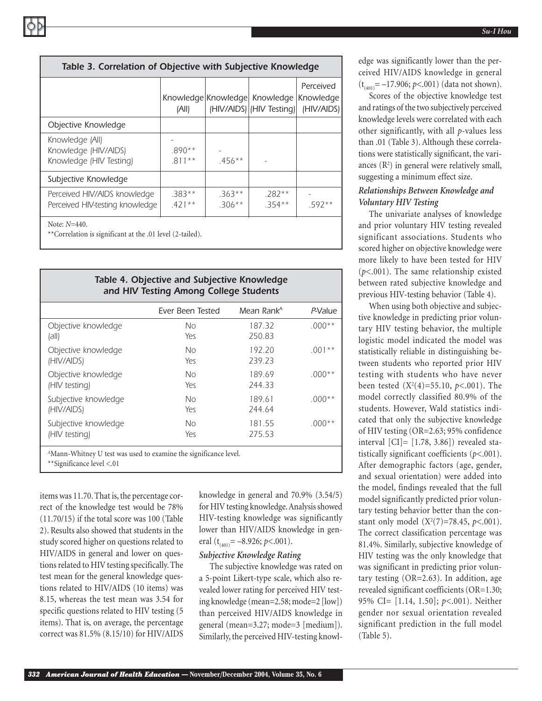| Table 3. Correlation of Objective with Subjective Knowledge        |                     |                      |                                                                     |                         |  |  |
|--------------------------------------------------------------------|---------------------|----------------------|---------------------------------------------------------------------|-------------------------|--|--|
|                                                                    | (AII)               |                      | Knowledge Knowledge Knowledge Knowledge<br>(HIV/AIDS) (HIV Testing) | Perceived<br>(HIV/AIDS) |  |  |
| Objective Knowledge                                                |                     |                      |                                                                     |                         |  |  |
| Knowledge (All)<br>Knowledge (HIV/AIDS)<br>Knowledge (HIV Testing) | $890**$<br>$.811**$ | $.456**$             |                                                                     |                         |  |  |
| Subjective Knowledge                                               |                     |                      |                                                                     |                         |  |  |
| Perceived HIV/AIDS knowledge<br>Perceived HIV-testing knowledge    | $.383**$<br>$421**$ | $.363**$<br>$.306**$ | $.282**$<br>$354**$                                                 | $.592**$                |  |  |
|                                                                    |                     |                      |                                                                     |                         |  |  |

Note: *N*=440.

\*\*Correlation is significant at the .01 level (2-tailed).

# *Table 4. Objective and Subjective Knowledge and HIV Testing Among College Students*

|                                                                              | Ever Been Tested | Mean Rank <sup>A</sup> | P-Value  |  |  |  |
|------------------------------------------------------------------------------|------------------|------------------------|----------|--|--|--|
| Objective knowledge                                                          | <b>No</b>        | 187.32                 | $.000**$ |  |  |  |
| (all)                                                                        | Yes              | 250.83                 |          |  |  |  |
| Objective knowledge                                                          | <b>No</b>        | 192.20                 | $.001**$ |  |  |  |
| (HIV/AIDS)                                                                   | Yes              | 239.23                 |          |  |  |  |
| Objective knowledge                                                          | No               | 189.69                 | $.000**$ |  |  |  |
| (HIV testing)                                                                | Yes              | 244.33                 |          |  |  |  |
| Subjective knowledge                                                         | No               | 189.61                 | $.000**$ |  |  |  |
| (HIV/AIDS)                                                                   | Yes              | 244.64                 |          |  |  |  |
| Subjective knowledge                                                         | No               | 181.55                 | $.000**$ |  |  |  |
| (HIV testing)                                                                | Yes              | 275.53                 |          |  |  |  |
| <sup>A</sup> Mann-Whitney U test was used to examine the significance level. |                  |                        |          |  |  |  |

\*\*Significance level <.01

items was 11.70. That is, the percentage correct of the knowledge test would be 78% (11.70/15) if the total score was 100 (Table 2). Results also showed that students in the study scored higher on questions related to HIV/AIDS in general and lower on questions related to HIV testing specifically. The test mean for the general knowledge questions related to HIV/AIDS (10 items) was 8.15, whereas the test mean was 3.54 for specific questions related to HIV testing (5 items). That is, on average, the percentage correct was 81.5% (8.15/10) for HIV/AIDS

knowledge in general and 70.9% (3.54/5) for HIV testing knowledge. Analysis showed HIV-testing knowledge was significantly lower than HIV/AIDS knowledge in general ( $t_{(401)} = -8.926$ ;  $p < .001$ ).

#### *Subjective Knowledge Rating*

The subjective knowledge was rated on a 5-point Likert-type scale, which also revealed lower rating for perceived HIV testing knowledge (mean=2.58; mode=2 [low]) than perceived HIV/AIDS knowledge in general (mean=3.27; mode=3 [medium]). Similarly, the perceived HIV-testing knowl-

edge was significantly lower than the perceived HIV/AIDS knowledge in general  $(t_{(401)} = -17.906; p < .001)$  (data not shown).

Scores of the objective knowledge test and ratings of the two subjectively perceived knowledge levels were correlated with each other significantly, with all *p*-values less than .01 (Table 3). Although these correlations were statistically significant, the variances  $(R^2)$  in general were relatively small, suggesting a minimum effect size.

## *Relationships Between Knowledge and Voluntary HIV Testing*

The univariate analyses of knowledge and prior voluntary HIV testing revealed significant associations. Students who scored higher on objective knowledge were more likely to have been tested for HIV (*p*<.001). The same relationship existed between rated subjective knowledge and previous HIV-testing behavior (Table 4).

When using both objective and subjective knowledge in predicting prior voluntary HIV testing behavior, the multiple logistic model indicated the model was statistically reliable in distinguishing between students who reported prior HIV testing with students who have never been tested (X2 (4)=55.10, *p*<.001). The model correctly classified 80.9% of the students. However, Wald statistics indicated that only the subjective knowledge of HIV testing (OR=2.63; 95% confidence interval [CI]= [1.78, 3.86]) revealed statistically significant coefficients (*p*<.001). After demographic factors (age, gender, and sexual orientation) were added into the model, findings revealed that the full model significantly predicted prior voluntary testing behavior better than the constant only model  $(X^2(7)=78.45, p<.001)$ . The correct classification percentage was 81.4%. Similarly, subjective knowledge of HIV testing was the only knowledge that was significant in predicting prior voluntary testing (OR=2.63). In addition, age revealed significant coefficients (OR=1.30; 95% CI= [1.14, 1.50]; *p*<.001). Neither gender nor sexual orientation revealed significant prediction in the full model (Table 5).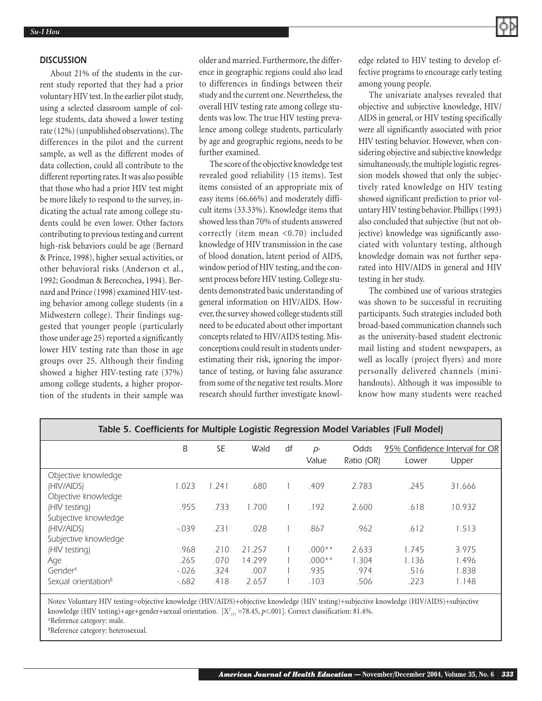#### *DISCUSSION*

About 21% of the students in the current study reported that they had a prior voluntary HIV test. In the earlier pilot study, using a selected classroom sample of college students, data showed a lower testing rate (12%) (unpublished observations). The differences in the pilot and the current sample, as well as the different modes of data collection, could all contribute to the different reporting rates. It was also possible that those who had a prior HIV test might be more likely to respond to the survey, indicating the actual rate among college students could be even lower. Other factors contributing to previous testing and current high-risk behaviors could be age (Bernard & Prince, 1998), higher sexual activities, or other behavioral risks (Anderson et al., 1992; Goodman & Berecochea, 1994). Bernard and Prince (1998) examined HIV-testing behavior among college students (in a Midwestern college). Their findings suggested that younger people (particularly those under age 25) reported a significantly lower HIV testing rate than those in age groups over 25. Although their finding showed a higher HIV-testing rate (37%) among college students, a higher proportion of the students in their sample was older and married. Furthermore, the difference in geographic regions could also lead to differences in findings between their study and the current one. Nevertheless, the overall HIV testing rate among college students was low. The true HIV testing prevalence among college students, particularly by age and geographic regions, needs to be further examined.

The score of the objective knowledge test revealed good reliability (15 items). Test items consisted of an appropriate mix of easy items (66.66%) and moderately difficult items (33.33%). Knowledge items that showed less than 70% of students answered correctly (item mean <0.70) included knowledge of HIV transmission in the case of blood donation, latent period of AIDS, window period of HIV testing, and the consent process before HIV testing. College students demonstrated basic understanding of general information on HIV/AIDS. However, the survey showed college students still need to be educated about other important concepts related to HIV/AIDS testing. Misconceptions could result in students underestimating their risk, ignoring the importance of testing, or having false assurance from some of the negative test results. More research should further investigate knowledge related to HIV testing to develop effective programs to encourage early testing among young people.

The univariate analyses revealed that objective and subjective knowledge, HIV/ AIDS in general, or HIV testing specifically were all significantly associated with prior HIV testing behavior. However, when considering objective and subjective knowledge simultaneously, the multiple logistic regression models showed that only the subjectively rated knowledge on HIV testing showed significant prediction to prior voluntary HIV testing behavior. Phillips (1993) also concluded that subjective (but not objective) knowledge was significantly associated with voluntary testing, although knowledge domain was not further separated into HIV/AIDS in general and HIV testing in her study.

The combined use of various strategies was shown to be successful in recruiting participants. Such strategies included both broad-based communication channels such as the university-based student electronic mail listing and student newspapers, as well as locally (project flyers) and more personally delivered channels (minihandouts). Although it was impossible to know how many students were reached

| Table 5. Coefficients for Multiple Logistic Regression Model Variables (Full Model) |          |           |        |    |          |            |                                |        |
|-------------------------------------------------------------------------------------|----------|-----------|--------|----|----------|------------|--------------------------------|--------|
|                                                                                     | B        | <b>SE</b> | Wald   | df | p-       | Odds       | 95% Confidence Interval for OR |        |
|                                                                                     |          |           |        |    | Value    | Ratio (OR) | Lower                          | Upper  |
| Objective knowledge                                                                 |          |           |        |    |          |            |                                |        |
| (HIV/AIDS)                                                                          | 1.023    | .241      | .680   |    | .409     | 2.783      | .245                           | 31.666 |
| Objective knowledge                                                                 |          |           |        |    |          |            |                                |        |
| (HIV testing)                                                                       | .955     | .733      | 1.700  |    | .192     | 2.600      | .618                           | 10.932 |
| Subjective knowledge                                                                |          |           |        |    |          |            |                                |        |
| (HIV/AIDS)                                                                          | $-0.039$ | .231      | .028   |    | .867     | .962       | .612                           | 1.513  |
| Subjective knowledge                                                                |          |           |        |    |          |            |                                |        |
| (HIV testing)                                                                       | .968     | .210      | 21.257 |    | $.000**$ | 2.633      | 1.745                          | 3.975  |
| Age                                                                                 | .265     | .070      | 14.299 |    | $.000**$ | 1.304      | 1.136                          | 1.496  |
| Gender <sup>A</sup>                                                                 | $-0.026$ | .324      | .007   |    | .935     | .974       | .516                           | 1.838  |
| Sexual orientation <sup>B</sup>                                                     | $-682$   | .418      | 2.657  |    | .103     | .506       | .223                           | 1.148  |

Notes: Voluntary HIV testing=objective knowledge (HIV/AIDS)+objective knowledge (HIV testing)+subjective knowledge (HIV/AIDS)+subjective knowledge (HIV testing)+age+gender+sexual orientation. [X<sup>2</sup><sub>(7)</sub> =78.45, p<.001]. Correct classification: 81.4%.

AReference category: male.

BReference category: heterosexual.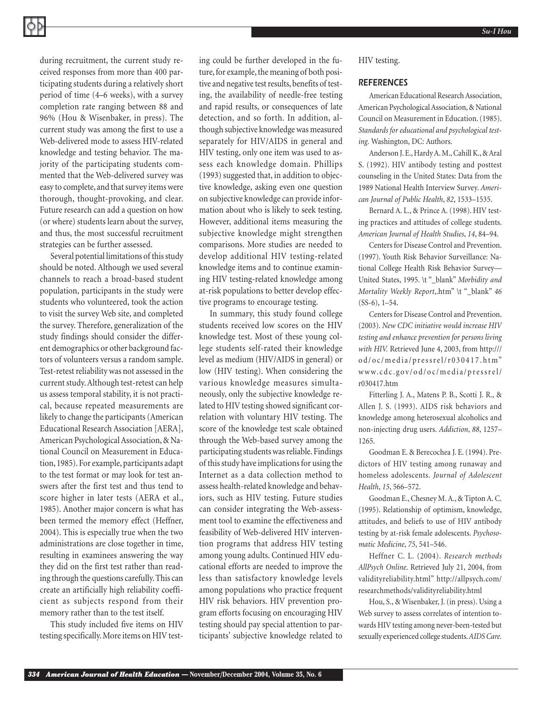during recruitment, the current study received responses from more than 400 participating students during a relatively short period of time (4–6 weeks), with a survey completion rate ranging between 88 and 96% (Hou & Wisenbaker, in press). The current study was among the first to use a Web-delivered mode to assess HIV-related knowledge and testing behavior. The majority of the participating students commented that the Web-delivered survey was easy to complete, and that survey items were thorough, thought-provoking, and clear. Future research can add a question on how (or where) students learn about the survey, and thus, the most successful recruitment strategies can be further assessed.

Several potential limitations of this study should be noted. Although we used several channels to reach a broad-based student population, participants in the study were students who volunteered, took the action to visit the survey Web site, and completed the survey. Therefore, generalization of the study findings should consider the different demographics or other background factors of volunteers versus a random sample. Test-retest reliability was not assessed in the current study. Although test-retest can help us assess temporal stability, it is not practical, because repeated measurements are likely to change the participants (American Educational Research Association [AERA], American Psychological Association, & National Council on Measurement in Education, 1985). For example, participants adapt to the test format or may look for test answers after the first test and thus tend to score higher in later tests (AERA et al., 1985). Another major concern is what has been termed the memory effect (Heffner, 2004). This is especially true when the two administrations are close together in time, resulting in examinees answering the way they did on the first test rather than reading through the questions carefully. This can create an artificially high reliability coefficient as subjects respond from their memory rather than to the test itself.

This study included five items on HIV testing specifically. More items on HIV testing could be further developed in the future, for example, the meaning of both positive and negative test results, benefits of testing, the availability of needle-free testing and rapid results, or consequences of late detection, and so forth. In addition, although subjective knowledge was measured separately for HIV/AIDS in general and HIV testing, only one item was used to assess each knowledge domain. Phillips (1993) suggested that, in addition to objective knowledge, asking even one question on subjective knowledge can provide information about who is likely to seek testing. However, additional items measuring the subjective knowledge might strengthen comparisons. More studies are needed to develop additional HIV testing-related knowledge items and to continue examining HIV testing-related knowledge among at-risk populations to better develop effective programs to encourage testing.

In summary, this study found college students received low scores on the HIV knowledge test. Most of these young college students self-rated their knowledge level as medium (HIV/AIDS in general) or low (HIV testing). When considering the various knowledge measures simultaneously, only the subjective knowledge related to HIV testing showed significant correlation with voluntary HIV testing. The score of the knowledge test scale obtained through the Web-based survey among the participating students was reliable. Findings of this study have implications for using the Internet as a data collection method to assess health-related knowledge and behaviors, such as HIV testing. Future studies can consider integrating the Web-assessment tool to examine the effectiveness and feasibility of Web-delivered HIV intervention programs that address HIV testing among young adults. Continued HIV educational efforts are needed to improve the less than satisfactory knowledge levels among populations who practice frequent HIV risk behaviors. HIV prevention program efforts focusing on encouraging HIV testing should pay special attention to participants' subjective knowledge related to

HIV testing.

#### *REFERENCES*

American Educational Research Association, American Psychological Association, & National Council on Measurement in Education. (1985). *Standards for educational and psychological testing.* Washington, DC: Authors.

Anderson J. E., Hardy A. M., Cahill K., & Aral S. (1992). HIV antibody testing and posttest counseling in the United States: Data from the 1989 National Health Interview Survey. *American Journal of Public Health*, *82*, 1533–1535.

Bernard A. L., & Prince A. (1998). HIV testing practices and attitudes of college students. *American Journal of Health Studies*, *14*, 84–94.

Centers for Disease Control and Prevention. (1997). Youth Risk Behavior Surveillance: National College Health Risk Behavior Survey— United States, 1995. \t "\_blank" *Morbidity and Mortality Weekly Report*,.htm" \t "\_blank" *46* (SS-6), 1–54.

Centers for Disease Control and Prevention. (2003). *New CDC initiative would increase HIV testing and enhance prevention for persons living with HIV.* Retrieved June 4, 2003, from http:/// od/oc/media/pressrel/r030417.htm" www.cdc.gov/od/oc/media/pressrel/ r030417.htm

Fitterling J. A., Matens P. B., Scotti J. R., & Allen J. S. (1993). AIDS risk behaviors and knowledge among heterosexual alcoholics and non-injecting drug users. *Addiction*, *88*, 1257– 1265.

Goodman E. & Berecochea J. E. (1994). Predictors of HIV testing among runaway and homeless adolescents. *Journal of Adolescent Health*, *15*, 566–572.

Goodman E., Chesney M. A., & Tipton A. C. (1995). Relationship of optimism, knowledge, attitudes, and beliefs to use of HIV antibody testing by at-risk female adolescents. *Psychosomatic Medicine*, *75*, 541–546.

Heffner C. L. (2004). *Research methods AllPsych Online*. Retrieved July 21, 2004, from validityreliability.html" http://allpsych.com/ researchmethods/validityreliability.html

Hou, S., & Wisenbaker, J. (in press). Using a Web survey to assess correlates of intention towards HIV testing among never-been-tested but sexually experienced college students. *AIDS Care.*